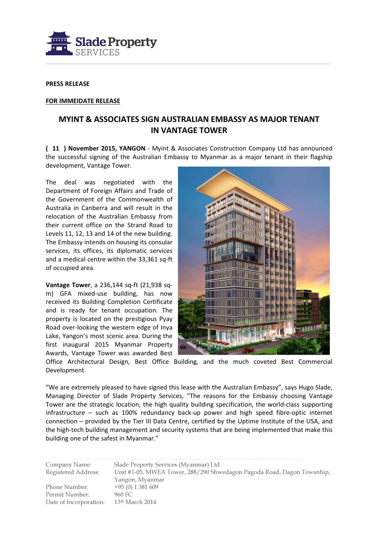

## PRESS RELEASE

## FOR IMMEIDATE RELEASE

## MYINT & ASSOCIATES SIGN AUSTRALIAN EMBASSY AS MAJOR TENANT IN VANTAGE TOWER

( 11 ) November 2015, YANGON - Myint & Associates Construction Company Ltd has announced the successful signing of the Australian Embassy to Myanmar as a major tenant in their flagship development, Vantage Tower.

The deal was negotiated with the Department of Foreign Affairs and Trade of the Government of the Commonwealth of Australia in Canberra and will result in the relocation of the Australian Embassy from their current office on the Strand Road to Levels 11, 12, 13 and 14 of the new building. The Embassy intends on housing its consular services, its offices, its diplomatic services and a medical centre within the 33,361 sq-ft of occupied area.

Vantage Tower, a 236,144 sq-ft (21,938 sqm) GFA mixed-use building, has now received its Building Completion Certificate and is ready for tenant occupation. The property is located on the prestigious Pyay Road over-looking the western edge of Inya Lake, Yangon's most scenic area. During the first inaugural 2015 Myanmar Property Awards, Vantage Tower was awarded Best



Office Architectural Design, Best Office Building, and the much coveted Best Commercial Development.

"We are extremely pleased to have signed this lease with the Australian Embassy", says Hugo Slade, Managing Director of Slade Property Services, "The reasons for the Embassy choosing Vantage Tower are the strategic location, the high quality building specification, the world-class supporting infrastructure – such as 100% redundancy back-up power and high speed fibre-optic internet connection – provided by the Tier III Data Centre, certified by the Uptime Institute of the USA, and the high-tech building management and security systems that are being implemented that make this building one of the safest in Myanmar."

Company Name: Slade Property Services (Myanmar) Ltd Registered Address: Unit #1-05, MWEA Tower, 288/290 Shwedagon Pagoda Road, Dagon Towsnhip, Yangon, Myanmar Phone Number: +95 (0) 1 381 609 Permit Number: 960 FC Date of Incorporation: 13<sup>th</sup> March 2014